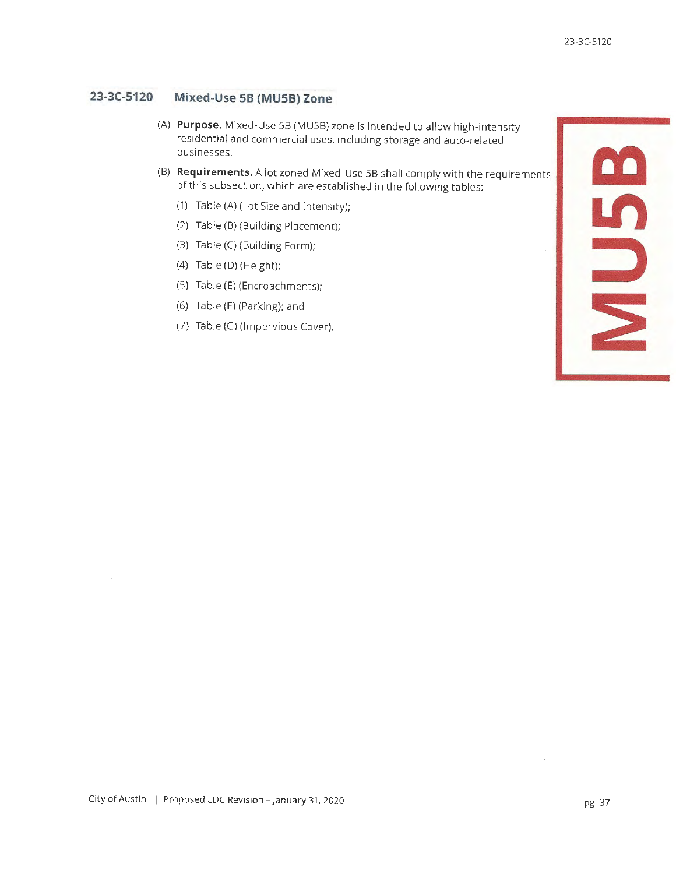**m** 

**Ln** 

::,

~

## **23-3(-5120 Mixed-Use SB (MUSB) Zone**

- (A) **Purpose.** Mixed-Use SB (MUSB) zone is intended to allow high-intensity residential and commercial uses, including storage and auto-related businesses.
- (B) **Requirements.** A lot zoned Mixed-Use SB shall comply with the requirements of this subsection, which are established in the following tables:
	- (1) Table (A) (Lot Size and Intensity);
	- (2) Table (B) (Building Placement);
	- (3) Table (C) (Building Form);
	- (4) Table (D) (Height);
	- (5) Table (E) (Encroachments);
	- (6) Table (F) (Parking); and
	- (7) Table (G) (Impervious Cover).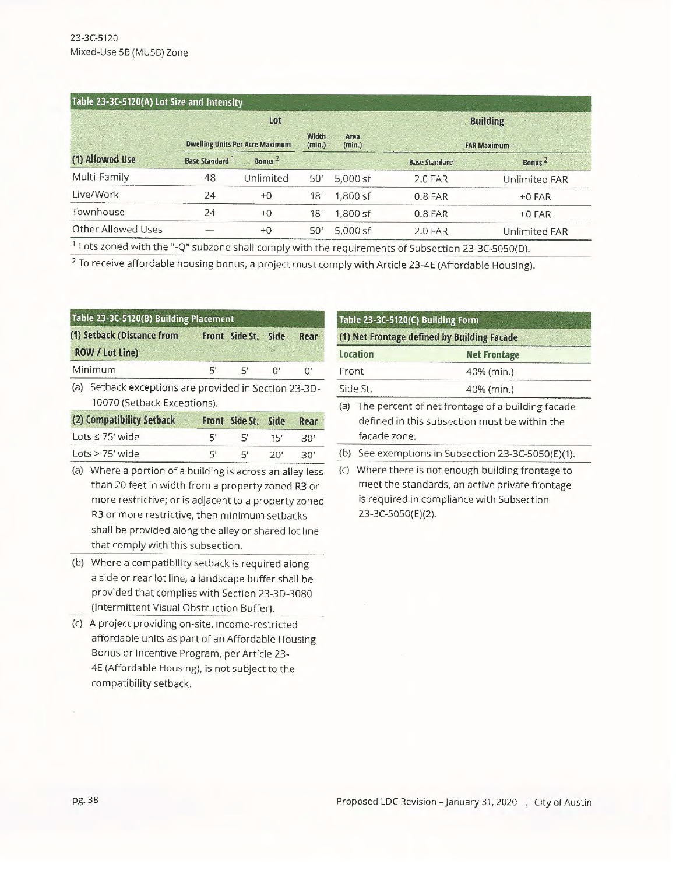| Table 23-3C-5120(A) Lot Size and Intensity |                                        |                    |                                   |            |                      |                      |  |
|--------------------------------------------|----------------------------------------|--------------------|-----------------------------------|------------|----------------------|----------------------|--|
|                                            | Lot                                    |                    |                                   |            | <b>Building</b>      |                      |  |
|                                            | <b>Dwelling Units Per Acre Maximum</b> |                    | Width<br>Area<br>(min.)<br>(min.) |            | <b>FAR Maximum</b>   |                      |  |
| (1) Allowed Use                            | <b>Base Standard</b> <sup>1</sup>      | Bonus <sup>2</sup> |                                   |            | <b>Base Standard</b> | Bonus <sup>2</sup>   |  |
| Multi-Family                               | 48                                     | Unlimited          | 50'                               | $5.000$ sf | 2.0 FAR              | Unlimited FAR        |  |
| Live/Work                                  | 24                                     | $+0$               | 18'                               | $1.800$ sf | 0.8 FAR              | $+0$ FAR             |  |
| Townhouse                                  | 24                                     | $+0$               | 18'                               | $1,800$ sf | 0.8 FAR              | $+0$ FAR             |  |
| Other Allowed Uses                         |                                        | $+0$               | 50'                               | $5.000$ sf | 2.0 FAR              | <b>Unlimited FAR</b> |  |

<sup>1</sup> Lots zoned with the "-Q" subzone shall comply with the requirements of Subsection 23-3C-5050(D).

2 To receive affordable housing bonus, a project must comply with Article 23-4E (Affordable Housing).

| Table 23-3C-5120(B) Building Placement |                                                                                      |    |                |      |      |
|----------------------------------------|--------------------------------------------------------------------------------------|----|----------------|------|------|
|                                        | (1) Setback (Distance from<br>ROW / Lot Line)                                        |    | Front Side St. | Side | Rear |
|                                        | Minimum                                                                              | 5' | 5'             | U.   | U,   |
|                                        | (a) Setback exceptions are provided in Section 23-3D-<br>10070 (Setback Exceptions). |    |                |      |      |

| (2) Compatibility Setback |    | Front Side St. Side |     | Rear |
|---------------------------|----|---------------------|-----|------|
| Lots $\leq$ 75' wide      | 5' | Ы,                  | 15' | מ?   |
| $Lots > 75$ ' wide        | 5' | 51                  | 20' | ה?   |

(a) Where a portion of a building is across an alley less than 20 feet in width from a property zoned R3 or more restrictive; or is adjacent to a property zoned R3 or more restrictive, then minimum setbacks shall be provided along the alley or shared lot line that comply with this subsection.

- (b) Where a compatibility setback is required along a side or rear lot line, a landscape buffer shall be provided that complies with Section 23-3D-3080 (Intermittent Visual Obstruction Buffer).
- (c) A project providing on-site, income-restricted affordable units as part of an Affordable Housing Bonus or Incentive Program, per Article 23- 4E (Affordable Housing), is not subject to the compatibility setback.

# **Table 23-3C-5120(C) Building Form (1) Net Frontage defined by Building Facade Location Net Frontage** Front 40% (min.) Side St. 40% (min.) (a) The percent of net frontage of a building facade defined in this subsection must be within the facade zone. (b) See exemptions in Subsection 23-3C-5050(E)(1).

(c) Where there is not enough building frontage to meet the standards, an active private frontage is required in compliance with Subsection 23-3C-5050(E)(2).